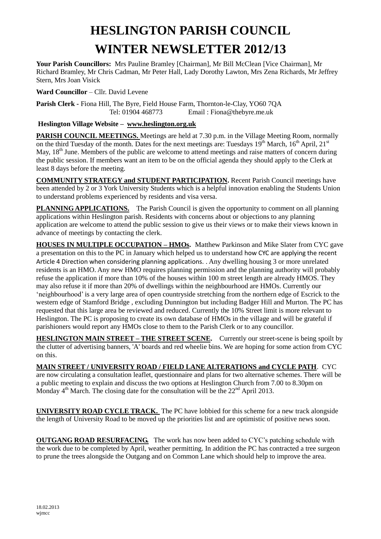# **HESLINGTON PARISH COUNCIL WINTER NEWSLETTER 2012/13**

**Your Parish Councillors:** Mrs Pauline Bramley [Chairman], Mr Bill McClean [Vice Chairman], Mr Richard Bramley, Mr Chris Cadman, Mr Peter Hall, Lady Dorothy Lawton, Mrs Zena Richards, Mr Jeffrey Stern, Mrs Joan Visick

**Ward Councillor** – Cllr. David Levene

**Parish Clerk -** Fiona Hill, The Byre, Field House Farm, Thornton-le-Clay, YO60 7QA Tel: 01904 468773 Email : Fiona@thebyre.me.uk

#### **Heslington Village Website – [www.heslington.org.uk](http://www.heslington.org.uk/)**

**PARISH COUNCIL MEETINGS.** Meetings are held at 7.30 p.m. in the Village Meeting Room, normally on the third Tuesday of the month. Dates for the next meetings are: Tuesdays  $19^{th}$  March,  $16^{th}$  April,  $21^{st}$ May, 18<sup>th</sup> June. Members of the public are welcome to attend meetings and raise matters of concern during the public session. If members want an item to be on the official agenda they should apply to the Clerk at least 8 days before the meeting.

**COMMUNITY STRATEGY and STUDENT PARTICIPATION.** Recent Parish Council meetings have been attended by 2 or 3 York University Students which is a helpful innovation enabling the Students Union to understand problems experienced by residents and visa versa.

**PLANNING APPLICATIONS.** The Parish Council is given the opportunity to comment on all planning applications within Heslington parish. Residents with concerns about or objections to any planning application are welcome to attend the public session to give us their views or to make their views known in advance of meetings by contacting the clerk.

**HOUSES IN MULTIPLE OCCUPATION – HMOs.** Matthew Parkinson and Mike Slater from CYC gave a presentation on this to the PC in January which helped us to understand how CYC are applying the recent Article 4 Direction when considering planning applications. . Any dwelling housing 3 or more unrelated residents is an HMO. Any new HMO requires planning permission and the planning authority will probably refuse the application if more than 10% of the houses within 100 m street length are already HMOS. They may also refuse it if more than 20% of dwellings within the neighbourhood are HMOs. Currently our 'neighbourhood' is a very large area of open countryside stretching from the northern edge of Escrick to the western edge of Stamford Bridge , excluding Dunnington but including Badger Hill and Murton. The PC has requested that this large area be reviewed and reduced. Currently the 10% Street limit is more relevant to Heslington. The PC is proposing to create its own database of HMOs in the village and will be grateful if parishioners would report any HMOs close to them to the Parish Clerk or to any councillor.

**HESLINGTON MAIN STREET – THE STREET SCENE.** Currently our street-scene is being spoilt by the clutter of advertising banners, 'A' boards and red wheelie bins. We are hoping for some action from CYC on this.

### **MAIN STREET / UNIVERSITY ROAD / FIELD LANE ALTERATIONS and CYCLE PATH**. CYC

are now circulating a consultation leaflet, questionnaire and plans for two alternative schemes. There will be a public meeting to explain and discuss the two options at Heslington Church from 7.00 to 8.30pm on Monday  $4<sup>th</sup>$  March. The closing date for the consultation will be the  $22<sup>nd</sup>$  April 2013.

**UNIVERSITY ROAD CYCLE TRACK.** The PC have lobbied for this scheme for a new track alongside the length of University Road to be moved up the priorities list and are optimistic of positive news soon.

**OUTGANG ROAD RESURFACING.** The work has now been added to CYC's patching schedule with the work due to be completed by April, weather permitting. In addition the PC has contracted a tree surgeon to prune the trees alongside the Outgang and on Common Lane which should help to improve the area.